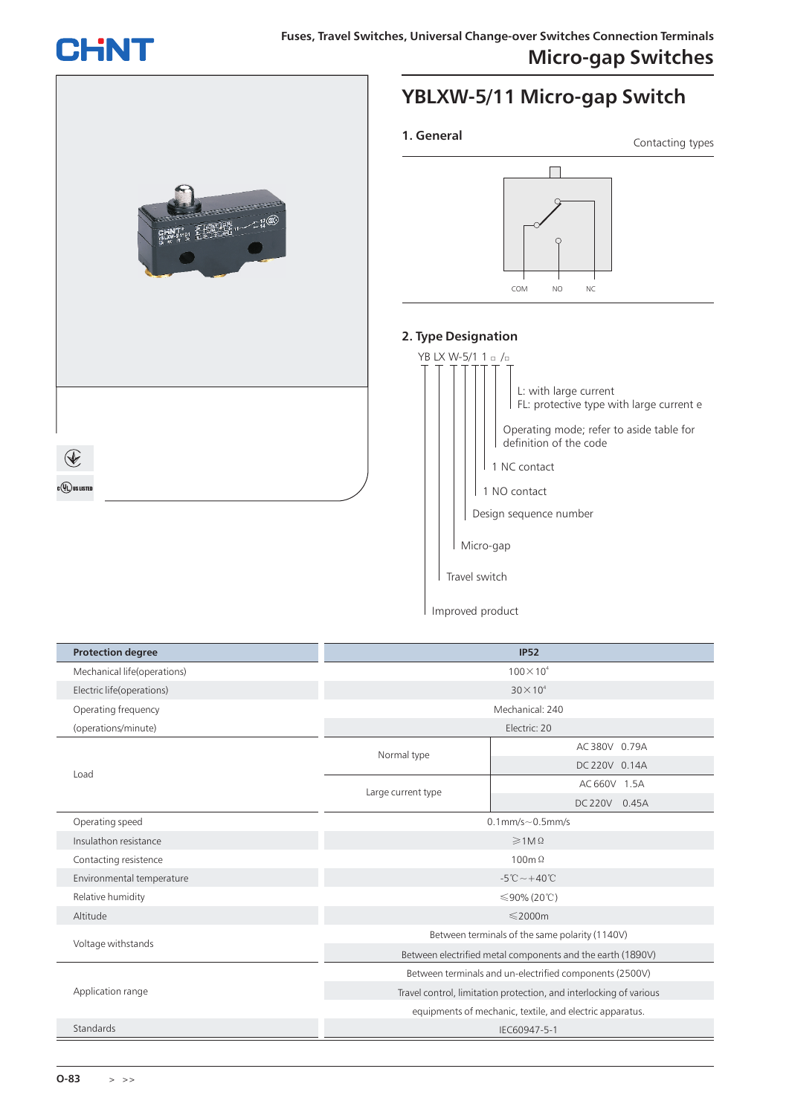## CHNII



## **YBLXW-5/11 Micro-gap Switch**

**1. General**

```
Contacting types
```


## **2. Type Designation**



**Protection degree IP52** Mechanical life(operations) Electric life(operations) Operating frequency (operations/minute) Load Operating speed Insulathon resistance Contacting resistence Environmental temperature Relative humidity Altitude Voltage withstands Application range Standards  $100\times10^{4}$  $30\times10^4$ Mechanical: 240 Electric: 20 0.1mm/s~0.5mm/s  $\geq 1M$   $\Omega$ 100mΩ -5℃~+40℃ ≤90% (20℃) ≤2000m Between terminals of the same polarity (1140V) Between electrified metal components and the earth (1890V) Between terminals and un-electrified components (2500V) Travel control, limitation protection, and interlocking of various equipments of mechanic, textile, and electric apparatus. IEC60947-5-1 Normal type Large current type AC 380V 0.79A DC 220V 0.14A AC 660V 1.5A DC 220V 0.45A